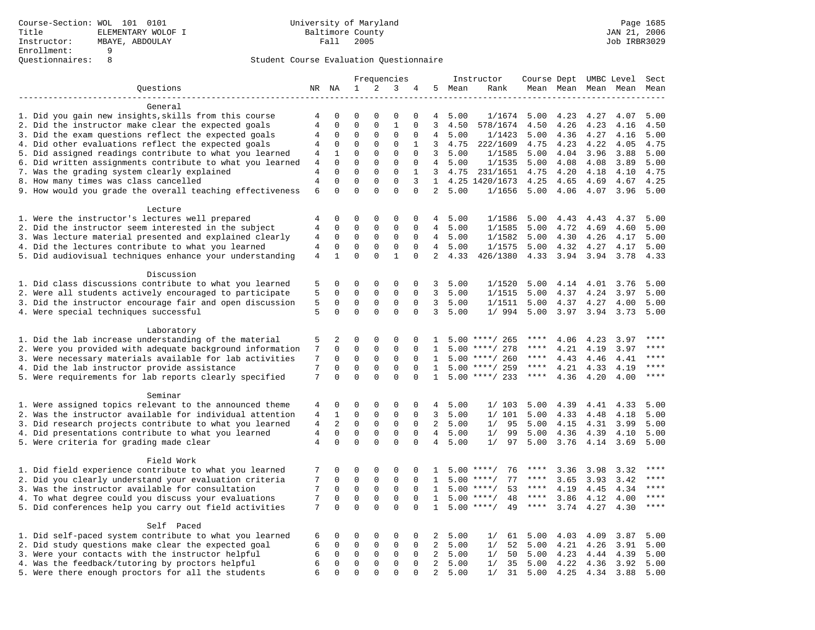|                                                                                                                |                                  |                            | Frequencies                  |                            |                             |                      | Instructor                   |         |                                      | Course Dept UMBC Level |              | Sect                |              |              |
|----------------------------------------------------------------------------------------------------------------|----------------------------------|----------------------------|------------------------------|----------------------------|-----------------------------|----------------------|------------------------------|---------|--------------------------------------|------------------------|--------------|---------------------|--------------|--------------|
| Questions                                                                                                      |                                  | NR NA                      | 1                            | $\overline{a}$             | 3                           | 4                    | 5                            | Mean    | Rank                                 |                        |              | Mean Mean Mean Mean |              | Mean         |
|                                                                                                                |                                  |                            |                              |                            |                             |                      |                              |         |                                      |                        |              |                     |              |              |
| General                                                                                                        |                                  |                            |                              |                            |                             |                      |                              |         |                                      |                        |              |                     |              |              |
| 1. Did you gain new insights, skills from this course                                                          | 4                                | 0                          | $\mathbf 0$                  | $\Omega$                   | 0                           | $\Omega$             | 4                            | 5.00    | 1/1674                               | 5.00                   | 4.23         | 4.27                | 4.07         | 5.00         |
| 2. Did the instructor make clear the expected goals                                                            | $\sqrt{4}$                       | $\mathbf 0$                | $\mathbf{0}$                 | $\mathbf 0$                | $1\,$                       | $\mathbf 0$          | 3                            | 4.50    | 578/1674                             | 4.50                   | 4.26         | 4.23                | 4.16         | 4.50         |
| 3. Did the exam questions reflect the expected goals                                                           | 4                                | $\mathbf 0$                | $\mathbf{0}$                 | $\mathbf 0$                | $\mathbf{0}$                | $\mathbf 0$          | $\overline{4}$               | 5.00    | 1/1423                               | 5.00                   | 4.36         | 4.27                | 4.16         | 5.00         |
| 4. Did other evaluations reflect the expected goals                                                            | 4                                | 0                          | $\mathbf{0}$                 | $\mathbf 0$                | $\mathbf{0}$                | 1                    | 3                            | 4.75    | 222/1609                             | 4.75                   | 4.23         | 4.22                | 4.05         | 4.75         |
| 5. Did assigned readings contribute to what you learned                                                        | 4                                | $\mathbf{1}$               | $\mathbf{0}$                 | $\mathbf 0$                | $\mathbf{0}$                | $\mathbf 0$          | $\overline{3}$               | 5.00    | 1/1585                               | 5.00                   | 4.04         | 3.96                | 3.88         | 5.00         |
| 6. Did written assignments contribute to what you learned                                                      | $\overline{4}$                   | $\Omega$                   | $\mathbf 0$                  | $\Omega$                   | $\mathbf 0$                 | $\mathbf 0$          | $\overline{4}$               | 5.00    | 1/1535                               | 5.00                   | 4.08         | 4.08                | 3.89         | 5.00         |
| 7. Was the grading system clearly explained                                                                    | $\overline{4}$<br>$\overline{4}$ | $\Omega$<br>$\mathbf 0$    | $\mathbf{0}$<br>$\mathbf{0}$ | $\mathbf 0$<br>$\mathbf 0$ | $\mathbf 0$<br>$\mathbf 0$  | $\mathbf{1}$<br>3    | 3                            | 4.75    | 231/1651                             | 4.75                   | 4.20         | 4.18                | 4.10         | 4.75<br>4.25 |
| 8. How many times was class cancelled                                                                          | 6                                | $\Omega$                   | $\Omega$                     | $\Omega$                   | $\Omega$                    | $\Omega$             | $\mathbf{1}$<br>2            | 5.00    | 4.25 1420/1673<br>1/1656             | 4.25<br>5.00           | 4.65<br>4.06 | 4.69<br>4.07        | 4.67<br>3.96 | 5.00         |
| 9. How would you grade the overall teaching effectiveness                                                      |                                  |                            |                              |                            |                             |                      |                              |         |                                      |                        |              |                     |              |              |
| Lecture                                                                                                        |                                  |                            |                              |                            |                             |                      |                              |         |                                      |                        |              |                     |              |              |
| 1. Were the instructor's lectures well prepared                                                                | 4                                | $\mathbf 0$                | $\mathbf{0}$                 | $\mathbf 0$                | $\mathsf 0$                 | $\mathbf 0$          | 4                            | 5.00    | 1/1586                               | 5.00                   | 4.43         | 4.43                | 4.37         | 5.00         |
| 2. Did the instructor seem interested in the subject                                                           | 4                                | 0                          | 0                            | $\mathbf 0$                | $\mathsf 0$                 | 0                    | 4                            | 5.00    | 1/1585                               | 5.00                   | 4.72         | 4.69                | 4.60         | 5.00         |
| 3. Was lecture material presented and explained clearly                                                        | 4                                | $\mathbf 0$                | $\mathbf 0$                  | 0                          | $\mathbf 0$                 | 0                    | $\overline{4}$               | 5.00    | 1/1582                               | 5.00                   | 4.30         | 4.26                | 4.17         | 5.00         |
| 4. Did the lectures contribute to what you learned                                                             | 4                                | $\mathbf 0$                | $\mathbf{0}$                 | $\mathbf 0$                | $\mathbf 0$                 | $\Omega$             |                              | 4, 5.00 | 1/1575                               | 5.00                   | 4.32         | 4.27                | 4.17         | 5.00         |
| 5. Did audiovisual techniques enhance your understanding                                                       | $\overline{4}$                   | $\mathbf{1}$               | $\mathbf 0$                  | $\mathbf 0$                | $\mathbf{1}$                | $\mathbf 0$          | $\overline{2}$               | 4.33    | 426/1380                             | 4.33                   | 3.94         | 3.94                | 3.78         | 4.33         |
|                                                                                                                |                                  |                            |                              |                            |                             |                      |                              |         |                                      |                        |              |                     |              |              |
| Discussion                                                                                                     |                                  |                            |                              |                            |                             |                      |                              |         |                                      |                        |              |                     |              |              |
| 1. Did class discussions contribute to what you learned                                                        | 5                                | 0                          | $\mathbf 0$                  | $\mathbf 0$                | 0                           | 0                    | 3                            | 5.00    | 1/1520                               | 5.00                   | 4.14         | 4.01                | 3.76         | 5.00         |
| 2. Were all students actively encouraged to participate                                                        | 5                                | $\mathbf 0$                | $\mathbf 0$                  | $\mathbf 0$                | $\mathbf 0$                 | $\mathbf 0$          | 3                            | 5.00    | 1/1515                               | 5.00                   | 4.37         | 4.24                | 3.97         | 5.00         |
| 3. Did the instructor encourage fair and open discussion                                                       | 5                                | $\mathbf 0$                | $\mathbf 0$                  | $\mathsf 0$                | $\mathsf 0$                 | $\mathbf 0$          | 3                            | 5.00    | 1/1511                               | 5.00                   | 4.37         | 4.27                | 4.00         | 5.00         |
| 4. Were special techniques successful                                                                          | 5                                | $\Omega$                   | $\Omega$                     | $\Omega$                   | $\mathbf 0$                 | $\Omega$             | 3                            | 5.00    | 1/994                                | 5.00                   | 3.97         | 3.94                | 3.73         | 5.00         |
|                                                                                                                |                                  |                            |                              |                            |                             |                      |                              |         |                                      |                        |              |                     |              |              |
| Laboratory                                                                                                     |                                  |                            |                              |                            |                             |                      |                              |         |                                      |                        |              |                     |              | $***$ * * *  |
| 1. Did the lab increase understanding of the material                                                          | 5                                | 2                          | $\Omega$                     | $\Omega$                   | $\Omega$                    | $\Omega$             | 1                            |         | $5.00$ ****/ 265                     | ****<br>****           | 4.06         | 4.23                | 3.97         | $***$        |
| 2. Were you provided with adequate background information                                                      | 7                                | $\mathbf 0$<br>$\mathbf 0$ | $\mathbf 0$<br>$\mathbf 0$   | $\mathbf 0$<br>$\mathbf 0$ | $\mathbf{0}$<br>$\mathbf 0$ | $\Omega$             | 1                            | 5.00    | ****/ 278                            | ****                   | 4.21         | 4.19                | 3.97         | ****         |
| 3. Were necessary materials available for lab activities                                                       | 7                                |                            | $\mathbf 0$                  |                            |                             | 0                    | 1                            | 5.00    | ****/ 260                            | ****                   | 4.43         | 4.46                | 4.41         | ****         |
| 4. Did the lab instructor provide assistance<br>5. Were requirements for lab reports clearly specified         | 7<br>7                           | $\mathbf 0$<br>$\Omega$    | $\Omega$                     | $\mathbf 0$<br>$\Omega$    | $\mathbf{0}$<br>$\Omega$    | $\Omega$<br>$\Omega$ | $\mathbf{1}$<br>$\mathbf{1}$ |         | $5.00$ ****/ 259<br>$5.00$ ****/ 233 | $***$ * *              | 4.21<br>4.36 | 4.33<br>4.20        | 4.19<br>4.00 | ****         |
|                                                                                                                |                                  |                            |                              |                            |                             |                      |                              |         |                                      |                        |              |                     |              |              |
| Seminar                                                                                                        |                                  |                            |                              |                            |                             |                      |                              |         |                                      |                        |              |                     |              |              |
| 1. Were assigned topics relevant to the announced theme                                                        | 4                                | 0                          | 0                            | 0                          | 0                           | 0                    | 4                            | 5.00    | 1/103                                | 5.00                   | 4.39         | 4.41                | 4.33         | 5.00         |
| 2. Was the instructor available for individual attention                                                       | 4                                | 1                          | $\mathbf 0$                  | 0                          | $\mathbf{0}$                | 0                    | $\overline{3}$               | 5.00    | 1/101                                | 5.00                   | 4.33         | 4.48                | 4.18         | 5.00         |
| 3. Did research projects contribute to what you learned                                                        | $\overline{4}$                   | 2                          | $\Omega$                     | $\Omega$                   | $\mathbf 0$                 | $\Omega$             | $\overline{2}$               | 5.00    | 1/<br>95                             | 5.00                   | 4.15         | 4.31                | 3.99         | 5.00         |
| 4. Did presentations contribute to what you learned                                                            | 4                                | $\mathbf 0$                | $\mathsf 0$                  | $\mathbf 0$                | $\mathbf 0$                 | $\mathbf 0$          | $\overline{4}$               | 5.00    | 99<br>1/                             | 5.00                   | 4.36         | 4.39                | 4.10         | 5.00         |
| 5. Were criteria for grading made clear                                                                        | 4                                | $\mathbf 0$                | $\mathbf{0}$                 | $\mathbf 0$                | $\mathbf 0$                 | $\mathbf 0$          | 4                            | 5.00    | 1/<br>97                             | 5.00                   | 3.76         | 4.14                | 3.69         | 5.00         |
|                                                                                                                |                                  |                            |                              |                            |                             |                      |                              |         |                                      |                        |              |                     |              |              |
| Field Work                                                                                                     |                                  |                            |                              |                            |                             |                      |                              |         |                                      |                        |              |                     |              |              |
| 1. Did field experience contribute to what you learned                                                         | 7                                | 0                          | $\mathbf{0}$                 | $\mathbf 0$                | $\mathbf{0}$                | $\Omega$             | $\mathbf{1}$                 | 5.00    | 76<br>$***$ /                        | ****                   | 3.36         | 3.98                | 3.32         | ****         |
| 2. Did you clearly understand your evaluation criteria                                                         | 7                                | $\mathbf 0$                | $\mathsf 0$                  | $\mathsf 0$                | $\mathsf 0$                 | $\mathbf 0$          | 1                            | 5.00    | 77<br>$***$ /                        | ****                   | 3.65         | 3.93                | 3.42         | $***$        |
| 3. Was the instructor available for consultation                                                               | 7                                | 0                          | $\mathbf 0$                  | 0                          | $\mathbf{0}$                | 0                    | 1                            | 5.00    | $***$ /<br>53                        | ****                   | 4.19         | 4.45                | 4.34         | $***$        |
| 4. To what degree could you discuss your evaluations                                                           | 7                                | $\Omega$                   | $\mathbf{0}$                 | $\Omega$                   | $\mathbf{0}$                | $\Omega$             | $\mathbf{1}$                 | 5.00    | $***/$<br>48                         | $***$ * *              | 3.86         | 4.12                | 4.00         | ****         |
| 5. Did conferences help you carry out field activities                                                         | 7                                | $\mathbf 0$                | $\Omega$                     | $\Omega$                   | $\Omega$                    | $\Omega$             | $\mathbf{1}$                 | 5.00    | 49<br>$***/$                         | $***$ * *              | 3.74         | 4.27                | 4.30         | $***$        |
| Self Paced                                                                                                     |                                  |                            |                              |                            |                             |                      |                              |         |                                      |                        |              |                     |              |              |
|                                                                                                                |                                  | 0                          | 0                            | $\mathbf 0$                | 0                           | 0                    | 2                            | 5.00    | 1/<br>61                             | 5.00                   | 4.03         | 4.09                | 3.87         | 5.00         |
| 1. Did self-paced system contribute to what you learned<br>2. Did study questions make clear the expected goal | 6<br>6                           | $\mathbf 0$                | $\mathbf 0$                  | $\mathbf 0$                | $\mathbf 0$                 | 0                    | 2                            | 5.00    | 52<br>1/                             | 5.00                   | 4.21         | 4.26                | 3.91         | 5.00         |
| 3. Were your contacts with the instructor helpful                                                              | 6                                | $\mathbf 0$                | $\mathsf 0$                  | 0                          | $\mathbf 0$                 | $\mathbf 0$          | 2                            | 5.00    | 50<br>1/                             | 5.00                   | 4.23         | 4.44                | 4.39         | 5.00         |
| 4. Was the feedback/tutoring by proctors helpful                                                               | 6                                | $\mathbf 0$                | $\mathsf 0$                  | $\mathbf 0$                | $\mathsf 0$                 | $\mathbf 0$          | 2                            | 5.00    | 1/<br>35                             | 5.00                   | 4.22         | 4.36                | 3.92         | 5.00         |
| 5. Were there enough proctors for all the students                                                             | 6                                | $\Omega$                   | $\Omega$                     | $\Omega$                   | $\Omega$                    | $\Omega$             | 2                            | 5.00    | 31<br>1/                             | $5.00 \quad 4.25$      |              | 4.34                | 3.88         | 5.00         |
|                                                                                                                |                                  |                            |                              |                            |                             |                      |                              |         |                                      |                        |              |                     |              |              |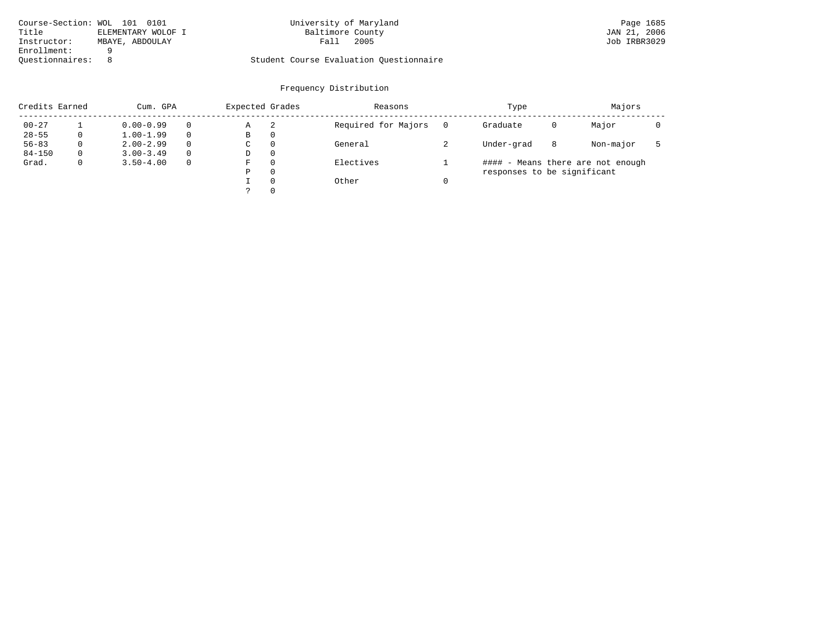| Course-Section: WOL 101 0101 |                    | University of Maryland                  | Page 1685    |
|------------------------------|--------------------|-----------------------------------------|--------------|
| Title                        | ELEMENTARY WOLOF I | Baltimore County                        | JAN 21, 2006 |
| Instructor:                  | MBAYE, ABDOULAY    | 2005<br>Fall                            | Job IRBR3029 |
| Enrollment:                  |                    |                                         |              |
| Ouestionnaires:              |                    | Student Course Evaluation Ouestionnaire |              |

# University of Maryland Page 1685<br>Baltimore County Band Dan 21, 2006

| Credits Earned |          | Cum. GPA      |          |   | Expected Grades | Reasons             | Type                              | Majors |           |  |  |  |
|----------------|----------|---------------|----------|---|-----------------|---------------------|-----------------------------------|--------|-----------|--|--|--|
| $00 - 27$      |          | $0.00 - 0.99$ |          | Α | -2              | Required for Majors | Graduate                          | 0      |           |  |  |  |
| $28 - 55$      | 0        | $1.00 - 1.99$ |          | В | 0               |                     |                                   |        |           |  |  |  |
| $56 - 83$      | $\Omega$ | $2.00 - 2.99$ | $\Omega$ | C | $\Omega$        | General             | Under-grad                        | 8      | Non-major |  |  |  |
| $84 - 150$     | $\Omega$ | $3.00 - 3.49$ | $\Omega$ | D | $\Omega$        |                     |                                   |        |           |  |  |  |
| Grad.          | 0        | $3.50 - 4.00$ | $\Omega$ | F | $\Omega$        | Electives           | #### - Means there are not enough |        |           |  |  |  |
|                |          |               |          | Ρ | $\Omega$        |                     | responses to be significant       |        |           |  |  |  |
|                |          |               |          |   | $\Omega$        | Other               |                                   |        |           |  |  |  |
|                |          |               |          |   | $\Omega$        |                     |                                   |        |           |  |  |  |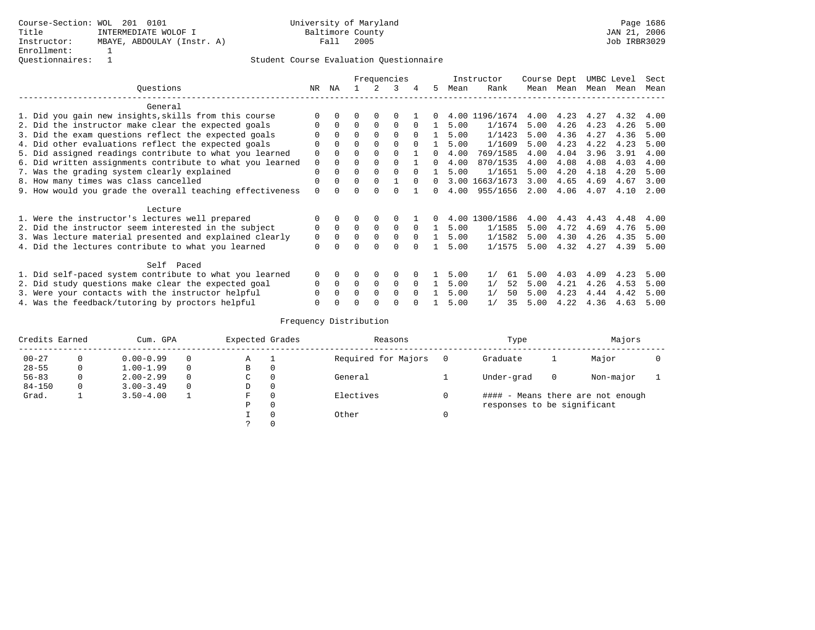|                                                           |             | Frequencies |              |             |          |          |              |      | Instructor     | Course Dept |           | UMBC Level |      | Sect |
|-----------------------------------------------------------|-------------|-------------|--------------|-------------|----------|----------|--------------|------|----------------|-------------|-----------|------------|------|------|
| Questions                                                 | NR          | NA          |              | 2           | 3        | 4        | 5            | Mean | Rank           |             | Mean Mean | Mean       | Mean | Mean |
| General                                                   |             |             |              |             |          |          |              |      |                |             |           |            |      |      |
| 1. Did you gain new insights, skills from this course     | $\Omega$    |             |              |             |          |          | $\Omega$     |      | 4.00 1196/1674 | 4.00        | 4.23 4.27 |            | 4.32 | 4.00 |
| 2. Did the instructor make clear the expected goals       | $\Omega$    | $\Omega$    | $\Omega$     | $\mathbf 0$ | $\Omega$ | $\Omega$ |              | 5.00 | 1/1674         | 5.00        | 4.26      | 4.23       | 4.26 | 5.00 |
| 3. Did the exam questions reflect the expected goals      |             |             | $\Omega$     |             | $\Omega$ | $\Omega$ | $\mathbf{1}$ | 5.00 | 1/1423         | 5.00        | 4.36      | 4.27       | 4.36 | 5.00 |
| 4. Did other evaluations reflect the expected goals       | $\Omega$    |             | $\Omega$     |             | $\Omega$ | $\cap$   |              | 5.00 | 1/1609         | 5.00        | 4.23      | 4.22       | 4.23 | 5.00 |
| 5. Did assigned readings contribute to what you learned   | 0           |             | $\Omega$     |             | $\Omega$ |          | $\Omega$     | 4.00 | 769/1585       | 4.00        | 4.04      | 3.96       | 3.91 | 4.00 |
| 6. Did written assignments contribute to what you learned | 0           |             |              |             | $\Omega$ |          | 0            | 4.00 | 870/1535       | 4.00        | 4.08      | 4.08       | 4.03 | 4.00 |
| 7. Was the grading system clearly explained               | $\Omega$    |             | $\Omega$     |             | $\Omega$ | $\Omega$ | $\mathbf{1}$ | 5.00 | 1/1651         | 5.00        | 4.20      | 4.18       | 4.20 | 5.00 |
| 8. How many times was class cancelled                     | $\Omega$    |             | $\Omega$     |             |          | $\Omega$ | 0            | 3.00 | 1663/1673      | 3.00        | 4.65      | 4.69       | 4.67 | 3.00 |
| 9. How would you grade the overall teaching effectiveness | $\Omega$    |             | $\Omega$     |             |          |          | $\Omega$     | 4.00 | 955/1656       | 2.00        | 4.06      | 4.07       | 4.10 | 2.00 |
| Lecture                                                   |             |             |              |             |          |          |              |      |                |             |           |            |      |      |
| 1. Were the instructor's lectures well prepared           |             |             |              | 0           |          |          | $\Omega$     | 4.00 | 1300/1586      | 4.00        | 4.43      | 4.43       | 4.48 | 4.00 |
| 2. Did the instructor seem interested in the subject      | 0           |             | $\Omega$     | $\Omega$    | $\Omega$ | $\Omega$ | $\mathbf{1}$ | 5.00 | 1/1585         | 5.00        | 4.72      | 4.69       | 4.76 | 5.00 |
| 3. Was lecture material presented and explained clearly   | $\mathbf 0$ |             | $\Omega$     | $\Omega$    | $\Omega$ | $\Omega$ | $\mathbf{1}$ | 5.00 | 1/1582         | 5.00        | 4.30      | 4.26       | 4.35 | 5.00 |
| 4. Did the lectures contribute to what you learned        | $\Omega$    |             | $\Omega$     | $\Omega$    | $\Omega$ | $\cap$   |              | 5.00 | 1/1575         | 5.00        | 4.32 4.27 |            | 4.39 | 5.00 |
| Self Paced                                                |             |             |              |             |          |          |              |      |                |             |           |            |      |      |
| 1. Did self-paced system contribute to what you learned   | 0           |             |              | 0           | 0        |          |              | 5.00 | 1/<br>61       | 5.00        | 4.03      | 4.09       | 4.23 | 5.00 |
| 2. Did study questions make clear the expected goal       | $\Omega$    | $\Omega$    | $\Omega$     | $\Omega$    | $\Omega$ | $\Omega$ | $\mathbf{1}$ | 5.00 | 1/<br>52       | 5.00        | 4.21      | 4.26       | 4.53 | 5.00 |
| 3. Were your contacts with the instructor helpful         |             |             | <sup>0</sup> | $\Omega$    | $\Omega$ | $\Omega$ |              | 5.00 | 1/<br>50       | 5.00        | 4.23      | 4.44       | 4.42 | 5.00 |
| 4. Was the feedback/tutoring by proctors helpful          |             |             | U            | $\Omega$    | ∩        |          |              | 5.00 | 1/<br>35       | 5.00        | 4.22      | 4.36       | 4.63 | 5.00 |

| Credits Earned |          | Cum. GPA      |          | Expected Grades |          | Reasons             | Type                        | Majors |                                   |  |
|----------------|----------|---------------|----------|-----------------|----------|---------------------|-----------------------------|--------|-----------------------------------|--|
| $00 - 27$      | 0        | $0.00 - 0.99$ | $\Omega$ | Α               | - 1      | Required for Majors | Graduate                    |        | Major                             |  |
| $28 - 55$      | $\Omega$ | $1.00 - 1.99$ | $\Omega$ | B               | 0        |                     |                             |        |                                   |  |
| $56 - 83$      | 0        | $2.00 - 2.99$ | $\Omega$ | C               | 0        | General             | Under-grad                  | 0      | Non-major                         |  |
| $84 - 150$     | $\Omega$ | $3.00 - 3.49$ | $\Omega$ | D               | 0        |                     |                             |        |                                   |  |
| Grad.          |          | $3.50 - 4.00$ |          | F               | $\Omega$ | Electives           |                             |        | #### - Means there are not enough |  |
|                |          |               |          | Ρ               | 0        |                     | responses to be significant |        |                                   |  |
|                |          |               |          |                 | $\Omega$ | Other               |                             |        |                                   |  |
|                |          |               |          |                 | $\Omega$ |                     |                             |        |                                   |  |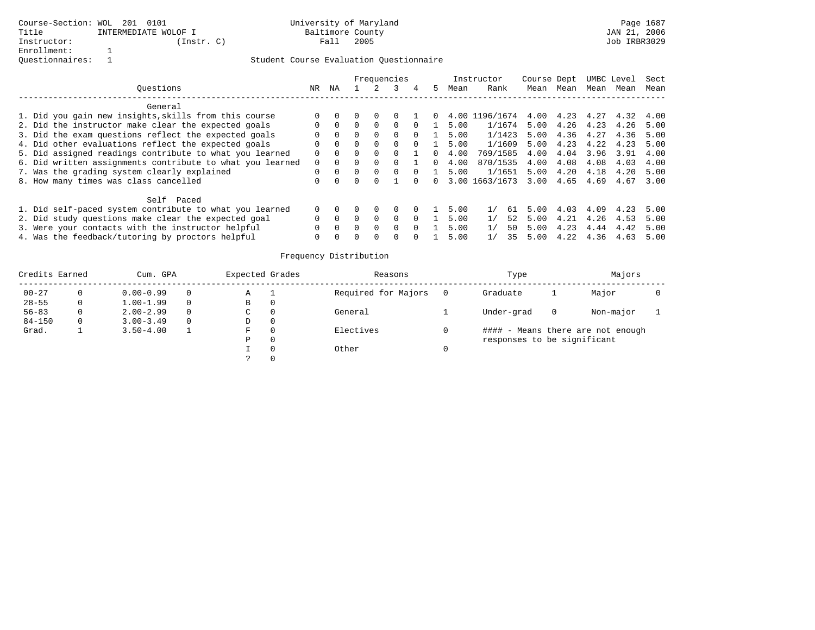|                                                  |                                                           |          |          |              |          | Frequencies |          |    |      | Instructor          | Course Dept |      | UMBC Level |      | Sect |
|--------------------------------------------------|-----------------------------------------------------------|----------|----------|--------------|----------|-------------|----------|----|------|---------------------|-------------|------|------------|------|------|
|                                                  | Ouestions                                                 | NR.      | ΝA       |              |          |             | 4        | 5  | Mean | Rank                | Mean        | Mean | Mean       | Mean | Mean |
|                                                  | General                                                   |          |          |              |          |             |          |    |      |                     |             |      |            |      |      |
|                                                  | 1. Did you gain new insights, skills from this course     |          |          |              |          |             |          |    |      | 4.00 1196/1674      | 4.00        | 4.23 | 4.27       | 4.32 | 4.00 |
|                                                  | 2. Did the instructor make clear the expected goals       |          | $\Omega$ |              | $\Omega$ |             |          |    | 5.00 | 1/1674              | 5.00        | 4.26 | 4.23       | 4.26 | 5.00 |
|                                                  | 3. Did the exam questions reflect the expected goals      |          | $\Omega$ |              | $\Omega$ |             | 0        |    | 5.00 | 1/1423              | 5.00        | 4.36 | 4.27       | 4.36 | 5.00 |
|                                                  | 4. Did other evaluations reflect the expected goals       |          | $\Omega$ | 0            | $\Omega$ |             | $\Omega$ |    | 5.00 | 1/1609              | 5.00        | 4.23 | 4.22       | 4.23 | 5.00 |
|                                                  | 5. Did assigned readings contribute to what you learned   | 0        | $\Omega$ | <sup>0</sup> | $\Omega$ |             |          | 0. | 4.00 | 769/1585            | 4.00        | 4.04 | 3.96       | 3.91 | 4.00 |
|                                                  | 6. Did written assignments contribute to what you learned | $\Omega$ | $\Omega$ | <sup>0</sup> | $\Omega$ |             |          | 0. | 4.00 | 870/1535            | 4.00        | 4.08 | 4.08       | 4.03 | 4.00 |
|                                                  | 7. Was the grading system clearly explained               | 0        | $\Omega$ |              | $\Omega$ | $\Omega$    |          |    | 5.00 | 1/1651              | 5.00        | 4.20 | 4.18       | 4.20 | 5.00 |
|                                                  | 8. How many times was class cancelled                     |          |          |              |          |             |          | 0  |      | 3.00 1663/1673      | 3.00        | 4.65 | 4.69       | 4.67 | 3.00 |
|                                                  | Self Paced                                                |          |          |              |          |             |          |    |      |                     |             |      |            |      |      |
|                                                  | 1. Did self-paced system contribute to what you learned   |          |          |              | $\Omega$ |             | $\Omega$ |    | 5.00 | $\frac{1}{2}$<br>61 | 500         | 4.03 | 4.09       | 4.23 | 5.00 |
|                                                  | 2. Did study questions make clear the expected goal       |          | $\cap$   |              | $\Omega$ | 0           | $\Omega$ |    | 5.00 | 52                  | 5.00        | 4.21 | 4.26       | 4.53 | 5.00 |
|                                                  | 3. Were your contacts with the instructor helpful         |          |          |              | $\Omega$ | 0           | $\Omega$ |    | 5.00 | 1/<br>50            | 5.00        | 4.23 | 4.44       | 4.42 | 5.00 |
| 4. Was the feedback/tutoring by proctors helpful |                                                           |          |          |              |          |             |          |    | 5.00 | 1/<br>35            | 5.00        | 4.22 | 4.36       | 4.63 | 5.00 |

| Credits Earned |   | Cum. GPA      |          | Expected Grades |          | Reasons             | Type                        | Majors                            |           |  |  |
|----------------|---|---------------|----------|-----------------|----------|---------------------|-----------------------------|-----------------------------------|-----------|--|--|
| $00 - 27$      | 0 | $0.00 - 0.99$ | $\Omega$ | Α               |          | Required for Majors | Graduate                    |                                   | Major     |  |  |
| $28 - 55$      | 0 | $1.00 - 1.99$ | $\Omega$ | В               | 0        |                     |                             |                                   |           |  |  |
| $56 - 83$      | 0 | $2.00 - 2.99$ | 0        | C               | 0        | General             | Under-grad                  | 0                                 | Non-major |  |  |
| $84 - 150$     | 0 | $3.00 - 3.49$ | $\Omega$ | D               | $\Omega$ |                     |                             |                                   |           |  |  |
| Grad.          |   | $3.50 - 4.00$ |          | F.              | $\Omega$ | Electives           |                             | #### - Means there are not enough |           |  |  |
|                |   |               |          | Ρ               | $\Omega$ |                     | responses to be significant |                                   |           |  |  |
|                |   |               |          |                 |          | Other               |                             |                                   |           |  |  |
|                |   |               |          |                 |          |                     |                             |                                   |           |  |  |